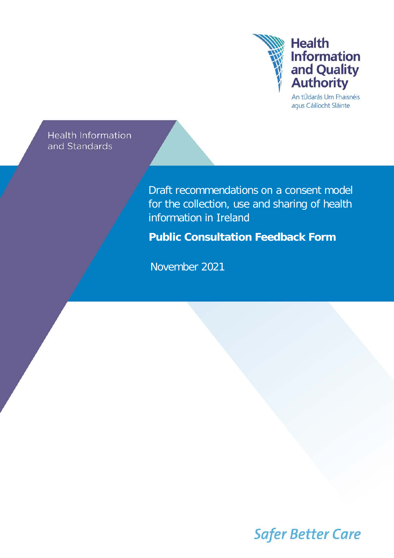

An tÚdarás Um Fhaisnéis agus Cáilíocht Sláinte

**Health Information** and Standards

> Draft recommendations on a consent model for the collection, use and sharing of health information in Ireland

**Public Consultation Feedback Form**

November 2021

**Safer Better Care**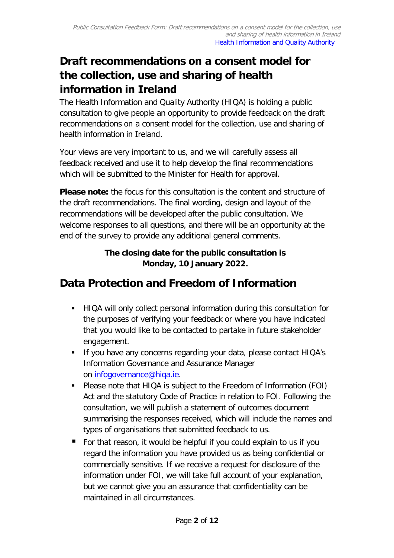# **Draft recommendations on a consent model for the collection, use and sharing of health information in Ireland**

The Health Information and Quality Authority (HIQA) is holding a public consultation to give people an opportunity to provide feedback on the draft recommendations on a consent model for the collection, use and sharing of health information in Ireland.

Your views are very important to us, and we will carefully assess all feedback received and use it to help develop the final recommendations which will be submitted to the Minister for Health for approval.

**Please note:** the focus for this consultation is the content and structure of the draft recommendations. The final wording, design and layout of the recommendations will be developed after the public consultation. We welcome responses to all questions, and there will be an opportunity at the end of the survey to provide any additional general comments.

#### **The closing date for the public consultation is Monday, 10 January 2022.**

## **Data Protection and Freedom of Information**

- HIQA will only collect personal information during this consultation for the purposes of verifying your feedback or where you have indicated that you would like to be contacted to partake in future stakeholder engagement.
- **If you have any concerns regarding your data, please contact HIQA's** Information Governance and Assurance Manager on [infogovernance@hiqa.ie.](mailto:infogovernance@hiqa.ie)
- Please note that HIQA is subject to the Freedom of Information (FOI) Act and the statutory Code of Practice in relation to FOI. Following the consultation, we will publish a statement of outcomes document summarising the responses received, which will include the names and types of organisations that submitted feedback to us.
- For that reason, it would be helpful if you could explain to us if you regard the information you have provided us as being confidential or commercially sensitive. If we receive a request for disclosure of the information under FOI, we will take full account of your explanation, but we cannot give you an assurance that confidentiality can be maintained in all circumstances.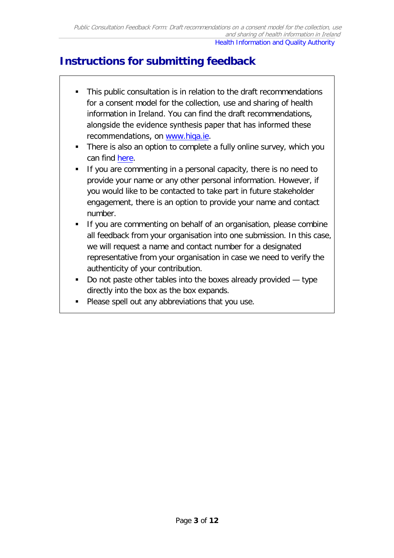## **Instructions for submitting feedback**

- This public consultation is in relation to the draft recommendations for a consent model for the collection, use and sharing of health information in Ireland. You can find the draft recommen[dations](http://www.hiqa.ie/), alongside the evidence synthesis paper that has informed these recommendations, on www.hiqa.ie.
- There is also an option to complete a fully online survey, which you can find [here.](https://hiqa.survey.fm/draft-recommendations-on-a-consent-model-for-health-information-in-ireland-public-consultation)
- If you are commenting in a personal capacity, there is no need to provide your name or any other personal information. However, if you would like to be contacted to take part in future stakeholder engagement, there is an option to provide your name and contact number.
- If you are commenting on behalf of an organisation, please combine all feedback from your organisation into one submission. In this case, we will request a name and contact number for a designated representative from your organisation in case we need to verify the authenticity of your contribution.
- Do not paste other tables into the boxes already provided  $-$  type directly into the box as the box expands.
- **Please spell out any abbreviations that you use.**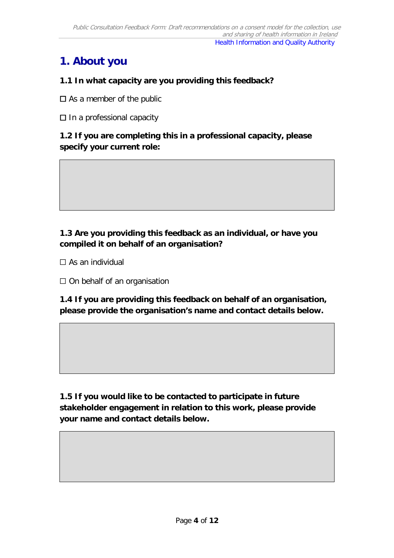## **1. About you**

#### **1.1 In what capacity are you providing this feedback?**

 $\square$  As a member of the public

☐ In a professional capacity

#### **1.2 If you are completing this in a professional capacity, please specify your current role:**

#### **1.3 Are you providing this feedback as an individual, or have you compiled it on behalf of an organisation?**

 $\Box$  As an individual

 $\Box$  On behalf of an organisation

**1.4 If you are providing this feedback on behalf of an organisation, please provide the organisation's name and contact details below.**

**1.5 If you would like to be contacted to participate in future stakeholder engagement in relation to this work, please provide your name and contact details below.**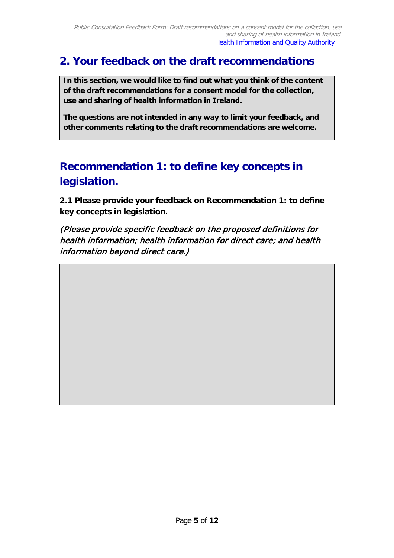### **2. Your feedback on the draft recommendations**

**In this section, we would like to find out what you think of the content of the draft recommendations for a consent model for the collection, use and sharing of health information in Ireland.** 

**The questions are not intended in any way to limit your feedback, and other comments relating to the draft recommendations are welcome.**

## **Recommendation 1: to define key concepts in legislation.**

**2.1 Please provide your feedback on Recommendation 1: to define key concepts in legislation.** 

(Please provide specific feedback on the proposed definitions for health information; health information for direct care; and health information beyond direct care.)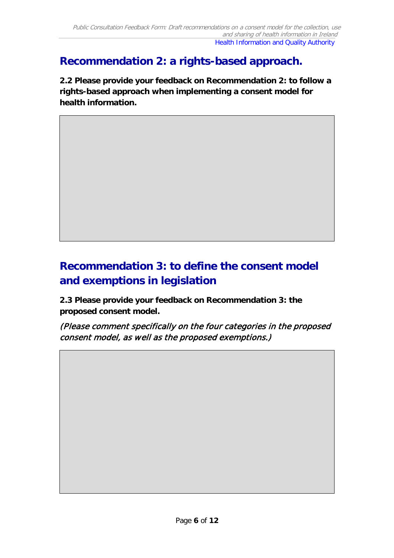### **Recommendation 2: a rights-based approach.**

**2.2 Please provide your feedback on Recommendation 2: to follow a rights-based approach when implementing a consent model for health information.** 

## **Recommendation 3: to define the consent model and exemptions in legislation**

**2.3 Please provide your feedback on Recommendation 3: the proposed consent model.** 

(Please comment specifically on the four categories in the proposed consent model, as well as the proposed exemptions.)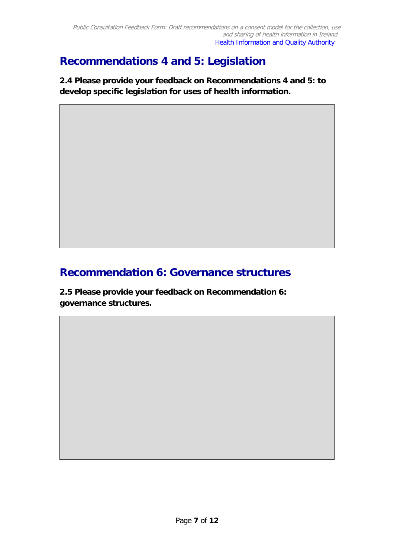## **Recommendations 4 and 5: Legislation**

**2.4 Please provide your feedback on Recommendations 4 and 5: to develop specific legislation for uses of health information.**

### **Recommendation 6: Governance structures**

**2.5 Please provide your feedback on Recommendation 6: governance structures.**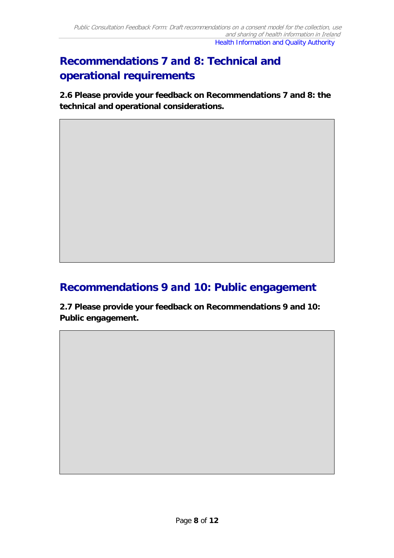# **Recommendations 7 and 8: Technical and operational requirements**

**2.6 Please provide your feedback on Recommendations 7 and 8: the technical and operational considerations.**

#### **Recommendations 9 and 10: Public engagement**

**2.7 Please provide your feedback on Recommendations 9 and 10: Public engagement.**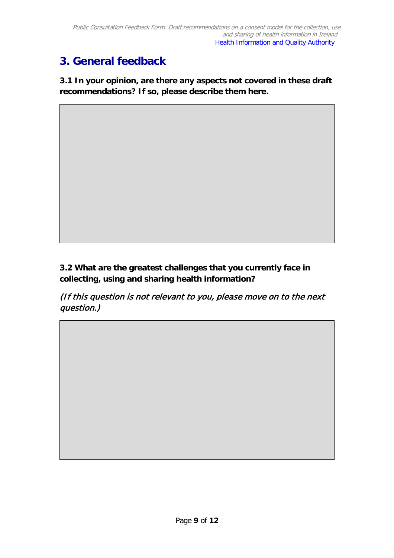## **3. General feedback**

**3.1 In your opinion, are there any aspects not covered in these draft recommendations? If so, please describe them here.** 

**3.2 What are the greatest challenges that you currently face in collecting, using and sharing health information?**

(If this question is not relevant to you, please move on to the next question.)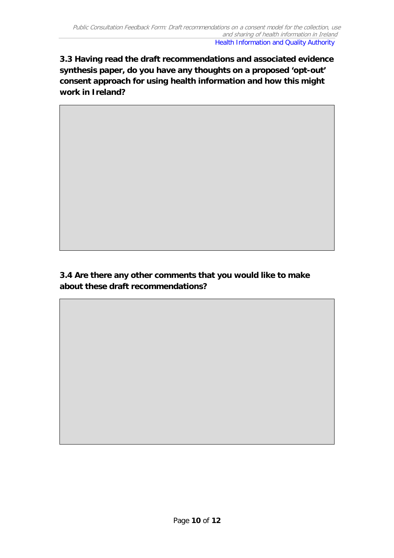**3.3 Having read the draft recommendations and associated evidence synthesis paper, do you have any thoughts on a proposed 'opt-out' consent approach for using health information and how this might work in Ireland?**

**3.4 Are there any other comments that you would like to make about these draft recommendations?**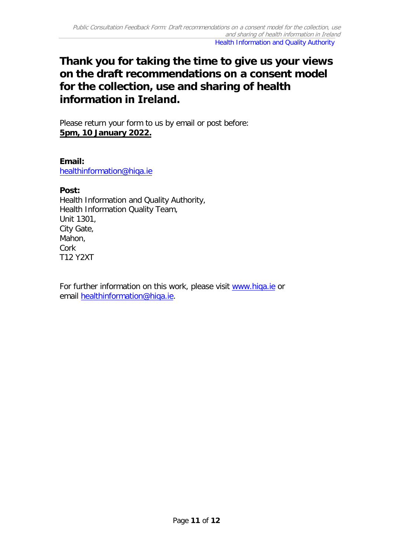### **Thank you for taking the time to give us your views on the draft recommendations on a consent model for the collection, use and sharing of health information in Ireland.**

Please return your form to us by email or post before: **5pm, 10 January 2022.**

**Email:**  [healthinformation@hiqa.ie](mailto:healthinformation@hiqa.ie)

#### **Post:**

Health Information and Quality Authority, Health Information Quality Team, Unit 1301, City Gate, Mahon, Cork T12 Y2XT

For further information on this work, please visit [www.hiqa.ie](http://www.hiqa.ie/) or email [healthinformation@hiqa.ie.](mailto:healthinformation@hiqa.ie)